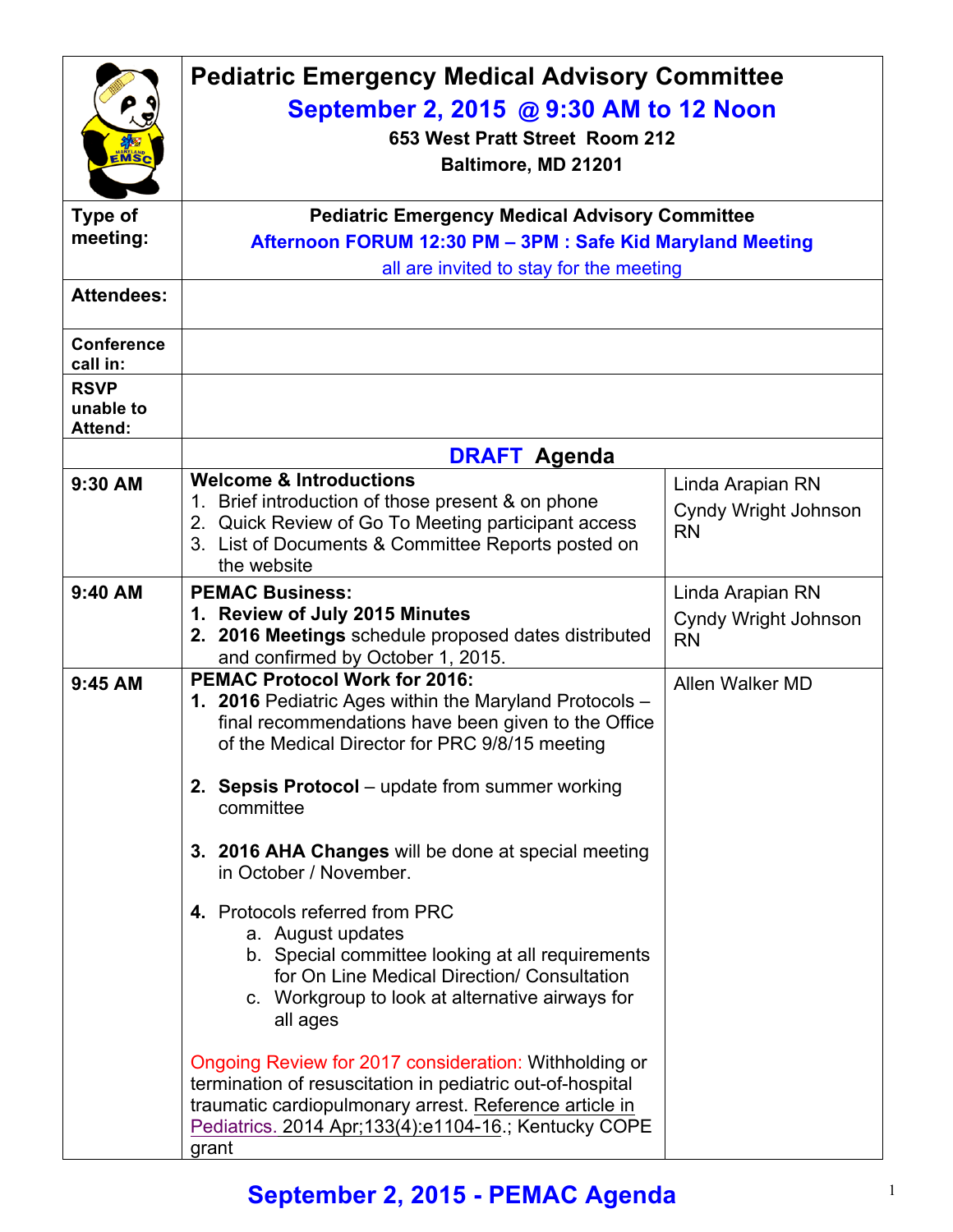| EMSC                                       | <b>Pediatric Emergency Medical Advisory Committee</b><br>September 2, 2015 @ 9:30 AM to 12 Noon<br>653 West Pratt Street Room 212<br>Baltimore, MD 21201                                                                                                                                                                                    |                                                              |  |  |
|--------------------------------------------|---------------------------------------------------------------------------------------------------------------------------------------------------------------------------------------------------------------------------------------------------------------------------------------------------------------------------------------------|--------------------------------------------------------------|--|--|
| <b>Type of</b>                             |                                                                                                                                                                                                                                                                                                                                             | <b>Pediatric Emergency Medical Advisory Committee</b>        |  |  |
| meeting:                                   | Afternoon FORUM 12:30 PM - 3PM : Safe Kid Maryland Meeting                                                                                                                                                                                                                                                                                  |                                                              |  |  |
|                                            | all are invited to stay for the meeting                                                                                                                                                                                                                                                                                                     |                                                              |  |  |
| <b>Attendees:</b>                          |                                                                                                                                                                                                                                                                                                                                             |                                                              |  |  |
| <b>Conference</b><br>call in:              |                                                                                                                                                                                                                                                                                                                                             |                                                              |  |  |
| <b>RSVP</b><br>unable to<br><b>Attend:</b> |                                                                                                                                                                                                                                                                                                                                             |                                                              |  |  |
|                                            | <b>DRAFT Agenda</b>                                                                                                                                                                                                                                                                                                                         |                                                              |  |  |
| 9:30 AM                                    | <b>Welcome &amp; Introductions</b><br>1. Brief introduction of those present & on phone<br>2. Quick Review of Go To Meeting participant access<br>3. List of Documents & Committee Reports posted on<br>the website                                                                                                                         | Linda Arapian RN<br><b>Cyndy Wright Johnson</b><br><b>RN</b> |  |  |
| 9:40 AM                                    | <b>PEMAC Business:</b><br>1. Review of July 2015 Minutes<br>2. 2016 Meetings schedule proposed dates distributed<br>and confirmed by October 1, 2015.                                                                                                                                                                                       | Linda Arapian RN<br>Cyndy Wright Johnson<br><b>RN</b>        |  |  |
| 9:45 AM                                    | <b>PEMAC Protocol Work for 2016:</b><br>1. 2016 Pediatric Ages within the Maryland Protocols -<br>final recommendations have been given to the Office<br>of the Medical Director for PRC 9/8/15 meeting<br>2. Sepsis Protocol – update from summer working<br>committee                                                                     | Allen Walker MD                                              |  |  |
|                                            | 3. 2016 AHA Changes will be done at special meeting<br>in October / November.                                                                                                                                                                                                                                                               |                                                              |  |  |
|                                            | 4. Protocols referred from PRC<br>a. August updates<br>b. Special committee looking at all requirements<br>for On Line Medical Direction/ Consultation<br>c. Workgroup to look at alternative airways for<br>all ages<br>Ongoing Review for 2017 consideration: Withholding or<br>termination of resuscitation in pediatric out-of-hospital |                                                              |  |  |
|                                            | traumatic cardiopulmonary arrest. Reference article in<br>Pediatrics. 2014 Apr; 133(4): e1104-16.; Kentucky COPE<br>grant                                                                                                                                                                                                                   |                                                              |  |  |

## **September 2, 2015 - PEMAC Agenda** <sup>1</sup>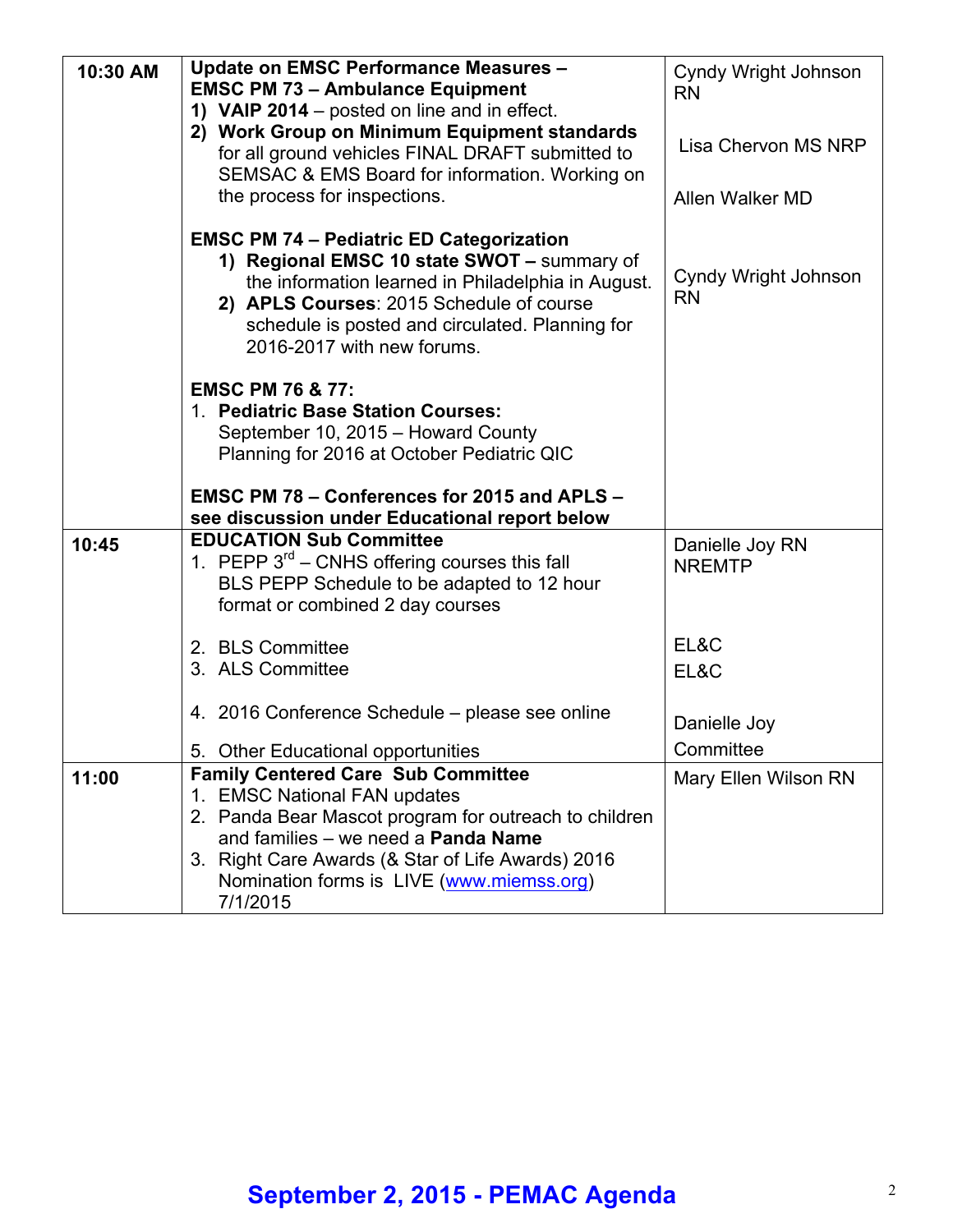| 10:30 AM | <b>Update on EMSC Performance Measures -</b><br><b>EMSC PM 73 - Ambulance Equipment</b>                                                                                                                                                                                           | Cyndy Wright Johnson              |
|----------|-----------------------------------------------------------------------------------------------------------------------------------------------------------------------------------------------------------------------------------------------------------------------------------|-----------------------------------|
|          | 1) VAIP 2014 – posted on line and in effect.                                                                                                                                                                                                                                      | <b>RN</b>                         |
|          | 2) Work Group on Minimum Equipment standards                                                                                                                                                                                                                                      |                                   |
|          | for all ground vehicles FINAL DRAFT submitted to                                                                                                                                                                                                                                  | Lisa Chervon MS NRP               |
|          | SEMSAC & EMS Board for information. Working on                                                                                                                                                                                                                                    |                                   |
|          | the process for inspections.                                                                                                                                                                                                                                                      | Allen Walker MD                   |
|          | <b>EMSC PM 74 - Pediatric ED Categorization</b><br>1) Regional EMSC 10 state SWOT - summary of<br>the information learned in Philadelphia in August.<br>2) APLS Courses: 2015 Schedule of course<br>schedule is posted and circulated. Planning for<br>2016-2017 with new forums. | Cyndy Wright Johnson<br><b>RN</b> |
|          |                                                                                                                                                                                                                                                                                   |                                   |
|          | <b>EMSC PM 76 &amp; 77:</b>                                                                                                                                                                                                                                                       |                                   |
|          | 1. Pediatric Base Station Courses:                                                                                                                                                                                                                                                |                                   |
|          | September 10, 2015 - Howard County<br>Planning for 2016 at October Pediatric QIC                                                                                                                                                                                                  |                                   |
|          |                                                                                                                                                                                                                                                                                   |                                   |
|          | EMSC PM 78 - Conferences for 2015 and APLS -                                                                                                                                                                                                                                      |                                   |
|          | see discussion under Educational report below                                                                                                                                                                                                                                     |                                   |
| 10:45    | <b>EDUCATION Sub Committee</b>                                                                                                                                                                                                                                                    |                                   |
|          | 1. PEPP 3 <sup>rd</sup> – CNHS offering courses this fall                                                                                                                                                                                                                         | Danielle Joy RN<br><b>NREMTP</b>  |
|          | BLS PEPP Schedule to be adapted to 12 hour                                                                                                                                                                                                                                        |                                   |
|          | format or combined 2 day courses                                                                                                                                                                                                                                                  |                                   |
|          |                                                                                                                                                                                                                                                                                   | EL&C                              |
|          | 2. BLS Committee                                                                                                                                                                                                                                                                  |                                   |
|          | 3. ALS Committee                                                                                                                                                                                                                                                                  | EL&C                              |
|          | 4. 2016 Conference Schedule – please see online                                                                                                                                                                                                                                   | Danielle Joy                      |
|          |                                                                                                                                                                                                                                                                                   | Committee                         |
|          | 5. Other Educational opportunities<br><b>Family Centered Care Sub Committee</b>                                                                                                                                                                                                   |                                   |
| 11:00    | 1. EMSC National FAN updates                                                                                                                                                                                                                                                      | Mary Ellen Wilson RN              |
|          | 2. Panda Bear Mascot program for outreach to children                                                                                                                                                                                                                             |                                   |
|          | and families - we need a Panda Name                                                                                                                                                                                                                                               |                                   |
|          | 3. Right Care Awards (& Star of Life Awards) 2016<br>Nomination forms is LIVE (www.miemss.org)                                                                                                                                                                                    |                                   |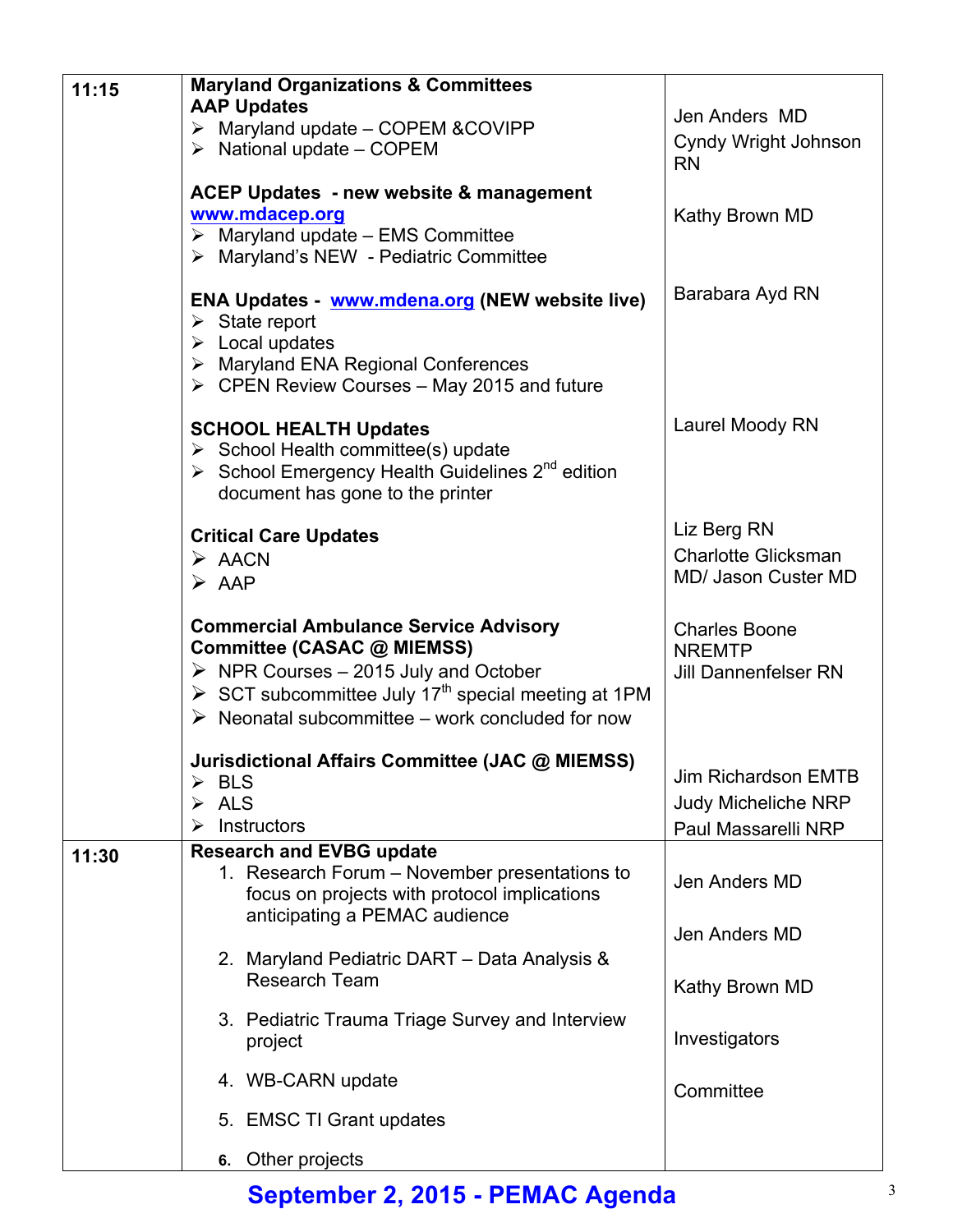| 11:15 | <b>Maryland Organizations &amp; Committees</b><br><b>AAP Updates</b><br>$\triangleright$ Maryland update - COPEM & COVIPP<br>$\triangleright$ National update – COPEM                                                                                                                   | Jen Anders MD<br><b>Cyndy Wright Johnson</b><br><b>RN</b>                |
|-------|-----------------------------------------------------------------------------------------------------------------------------------------------------------------------------------------------------------------------------------------------------------------------------------------|--------------------------------------------------------------------------|
|       | <b>ACEP Updates - new website &amp; management</b><br>www.mdacep.org<br>$\triangleright$ Maryland update - EMS Committee<br>> Maryland's NEW - Pediatric Committee                                                                                                                      | Kathy Brown MD                                                           |
|       | ENA Updates - www.mdena.org (NEW website live)<br>$\triangleright$ State report<br>$\triangleright$ Local updates<br>> Maryland ENA Regional Conferences<br>$\triangleright$ CPEN Review Courses – May 2015 and future                                                                  | Barabara Ayd RN                                                          |
|       | <b>SCHOOL HEALTH Updates</b><br>$\triangleright$ School Health committee(s) update<br>School Emergency Health Guidelines $2^{nd}$ edition<br>document has gone to the printer                                                                                                           | Laurel Moody RN                                                          |
|       | <b>Critical Care Updates</b><br>$\triangleright$ AACN<br>$\triangleright$ AAP                                                                                                                                                                                                           | Liz Berg RN<br><b>Charlotte Glicksman</b><br>MD/ Jason Custer MD         |
|       | <b>Commercial Ambulance Service Advisory</b><br>Committee (CASAC @ MIEMSS)<br>$\triangleright$ NPR Courses - 2015 July and October<br>$\triangleright$ SCT subcommittee July 17 <sup>th</sup> special meeting at 1PM<br>$\triangleright$ Neonatal subcommittee – work concluded for now | <b>Charles Boone</b><br><b>NREMTP</b><br><b>Jill Dannenfelser RN</b>     |
|       | Jurisdictional Affairs Committee (JAC @ MIEMSS)<br><b>BLS</b><br>➤<br><b>ALS</b><br>➤<br>Instructors<br>➤                                                                                                                                                                               | Jim Richardson EMTB<br><b>Judy Micheliche NRP</b><br>Paul Massarelli NRP |
| 11:30 | <b>Research and EVBG update</b><br>1. Research Forum - November presentations to<br>focus on projects with protocol implications<br>anticipating a PEMAC audience                                                                                                                       | Jen Anders MD                                                            |
|       | 2. Maryland Pediatric DART - Data Analysis &<br><b>Research Team</b>                                                                                                                                                                                                                    | Jen Anders MD<br>Kathy Brown MD                                          |
|       | 3. Pediatric Trauma Triage Survey and Interview<br>project                                                                                                                                                                                                                              | Investigators                                                            |
|       | 4. WB-CARN update                                                                                                                                                                                                                                                                       | Committee                                                                |
|       | 5. EMSC TI Grant updates                                                                                                                                                                                                                                                                |                                                                          |
|       | 6. Other projects                                                                                                                                                                                                                                                                       |                                                                          |

## **September 2, 2015 - PEMAC Agenda** <sup>3</sup>